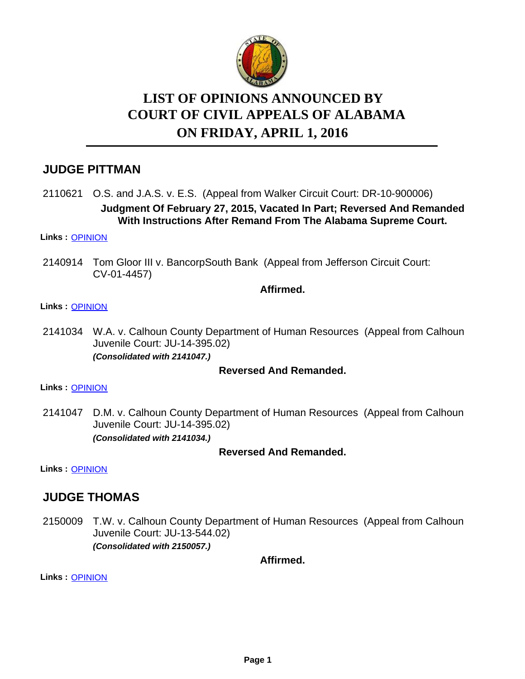

# **LIST OF OPINIONS ANNOUNCED BY ON FRIDAY, APRIL 1, 2016 COURT OF CIVIL APPEALS OF ALABAMA**

# **JUDGE PITTMAN**

2110621 O.S. and J.A.S. v. E.S. (Appeal from Walker Circuit Court: DR-10-900006) **Judgment Of February 27, 2015, Vacated In Part; Reversed And Remanded With Instructions After Remand From The Alabama Supreme Court.**

### **Links :** [OPINION](https://acis.alabama.gov/displaydocs.cfm?no=726790&event=4LO0IB5LN)

2140914 Tom Gloor III v. BancorpSouth Bank (Appeal from Jefferson Circuit Court: CV-01-4457)

### **Affirmed.**

### **Links :** [OPINION](https://acis.alabama.gov/displaydocs.cfm?no=726793&event=4LO0IB7V5)

2141034 W.A. v. Calhoun County Department of Human Resources (Appeal from Calhoun Juvenile Court: JU-14-395.02) *(Consolidated with 2141047.)*

### **Reversed And Remanded.**

### **Links :** [OPINION](https://acis.alabama.gov/displaydocs.cfm?no=726794&event=4LO0IB82Y)

2141047 D.M. v. Calhoun County Department of Human Resources (Appeal from Calhoun Juvenile Court: JU-14-395.02) *(Consolidated with 2141034.)*

### **Reversed And Remanded.**

**Links :** [OPINION](https://acis.alabama.gov/displaydocs.cfm?no=726794&event=4LO0IB82Y)

### **JUDGE THOMAS**

2150009 T.W. v. Calhoun County Department of Human Resources (Appeal from Calhoun Juvenile Court: JU-13-544.02) *(Consolidated with 2150057.)*

**Affirmed.**

**Links :** [OPINION](https://acis.alabama.gov/displaydocs.cfm?no=726795&event=4LO0IB8QC)